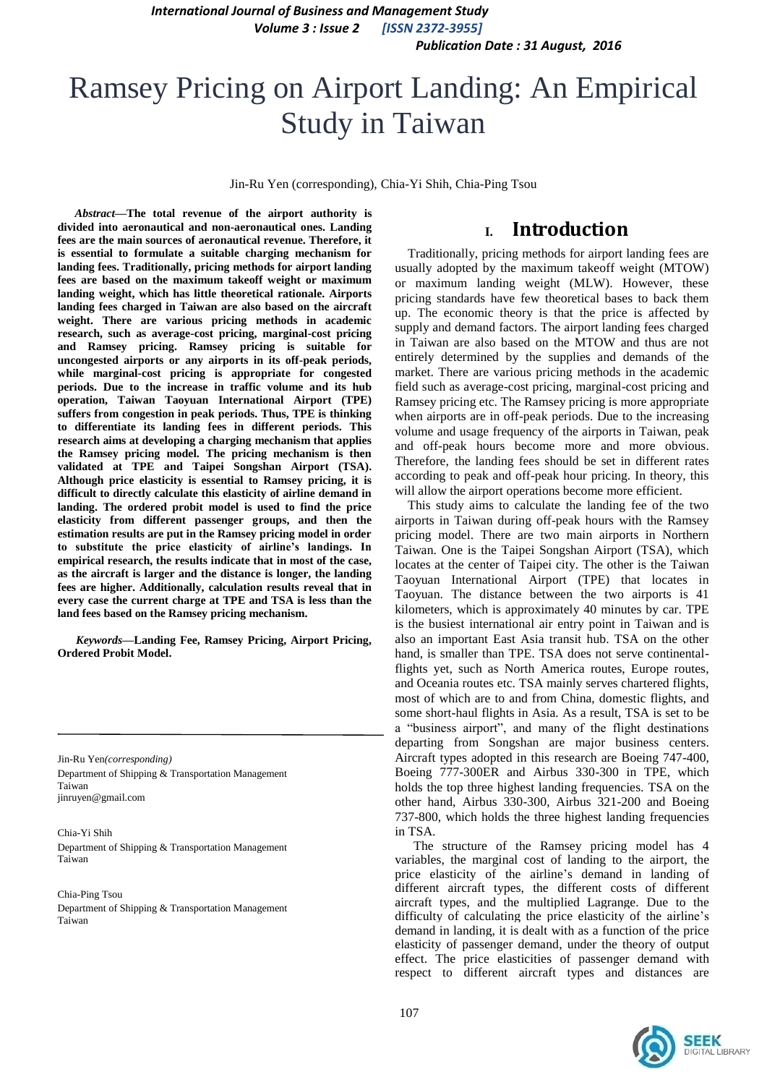*International Journal of Business and Management Study Volume 3 : Issue 2 [ISSN 2372-3955]*

 *Publication Date : 31 August, 2016*

# Ramsey Pricing on Airport Landing: An Empirical Study in Taiwan

Jin-Ru Yen (corresponding), Chia-Yi Shih, Chia-Ping Tsou

*Abstract***—The total revenue of the airport authority is divided into aeronautical and non-aeronautical ones. Landing fees are the main sources of aeronautical revenue. Therefore, it is essential to formulate a suitable charging mechanism for landing fees. Traditionally, pricing methods for airport landing fees are based on the maximum takeoff weight or maximum landing weight, which has little theoretical rationale. Airports landing fees charged in Taiwan are also based on the aircraft weight. There are various pricing methods in academic research, such as average-cost pricing, marginal-cost pricing and Ramsey pricing. Ramsey pricing is suitable for uncongested airports or any airports in its off-peak periods, while marginal-cost pricing is appropriate for congested periods. Due to the increase in traffic volume and its hub operation, Taiwan Taoyuan International Airport (TPE) suffers from congestion in peak periods. Thus, TPE is thinking to differentiate its landing fees in different periods. This research aims at developing a charging mechanism that applies the Ramsey pricing model. The pricing mechanism is then validated at TPE and Taipei Songshan Airport (TSA). Although price elasticity is essential to Ramsey pricing, it is difficult to directly calculate this elasticity of airline demand in landing. The ordered probit model is used to find the price elasticity from different passenger groups, and then the estimation results are put in the Ramsey pricing model in order to substitute the price elasticity of airline's landings. In empirical research, the results indicate that in most of the case, as the aircraft is larger and the distance is longer, the landing fees are higher. Additionally, calculation results reveal that in every case the current charge at TPE and TSA is less than the land fees based on the Ramsey pricing mechanism.**

*Keywords—***Landing Fee, Ramsey Pricing, Airport Pricing, Ordered Probit Model.**

Jin-Ru Yen*(corresponding)* Department of Shipping & Transportation Management Taiwan jinruyen@gmail.com

Chia-Yi Shih Department of Shipping & Transportation Management Taiwan

Chia-Ping Tsou Department of Shipping & Transportation Management Taiwan

## **I. Introduction**

Traditionally, pricing methods for airport landing fees are usually adopted by the maximum takeoff weight (MTOW) or maximum landing weight (MLW). However, these pricing standards have few theoretical bases to back them up. The economic theory is that the price is affected by supply and demand factors. The airport landing fees charged in Taiwan are also based on the MTOW and thus are not entirely determined by the supplies and demands of the market. There are various pricing methods in the academic field such as average-cost pricing, marginal-cost pricing and Ramsey pricing etc. The Ramsey pricing is more appropriate when airports are in off-peak periods. Due to the increasing volume and usage frequency of the airports in Taiwan, peak and off-peak hours become more and more obvious. Therefore, the landing fees should be set in different rates according to peak and off-peak hour pricing. In theory, this will allow the airport operations become more efficient.

This study aims to calculate the landing fee of the two airports in Taiwan during off-peak hours with the Ramsey pricing model. There are two main airports in Northern Taiwan. One is the Taipei Songshan Airport (TSA), which locates at the center of Taipei city. The other is the Taiwan Taoyuan International Airport (TPE) that locates in Taoyuan. The distance between the two airports is 41 kilometers, which is approximately 40 minutes by car. TPE is the busiest international air entry point in Taiwan and is also an important East Asia transit hub. TSA on the other hand, is smaller than TPE. TSA does not serve continentalflights yet, such as North America routes, Europe routes, and Oceania routes etc. TSA mainly serves chartered flights, most of which are to and from China, domestic flights, and some short-haul flights in Asia. As a result, TSA is set to be a "business airport", and many of the flight destinations departing from Songshan are major business centers. Aircraft types adopted in this research are Boeing 747-400, Boeing 777-300ER and Airbus 330-300 in TPE, which holds the top three highest landing frequencies. TSA on the other hand, Airbus 330-300, Airbus 321-200 and Boeing 737-800, which holds the three highest landing frequencies in TSA.

The structure of the Ramsey pricing model has 4 variables, the marginal cost of landing to the airport, the price elasticity of the airline's demand in landing of different aircraft types, the different costs of different aircraft types, and the multiplied Lagrange. Due to the difficulty of calculating the price elasticity of the airline's demand in landing, it is dealt with as a function of the price elasticity of passenger demand, under the theory of output effect. The price elasticities of passenger demand with respect to different aircraft types and distances are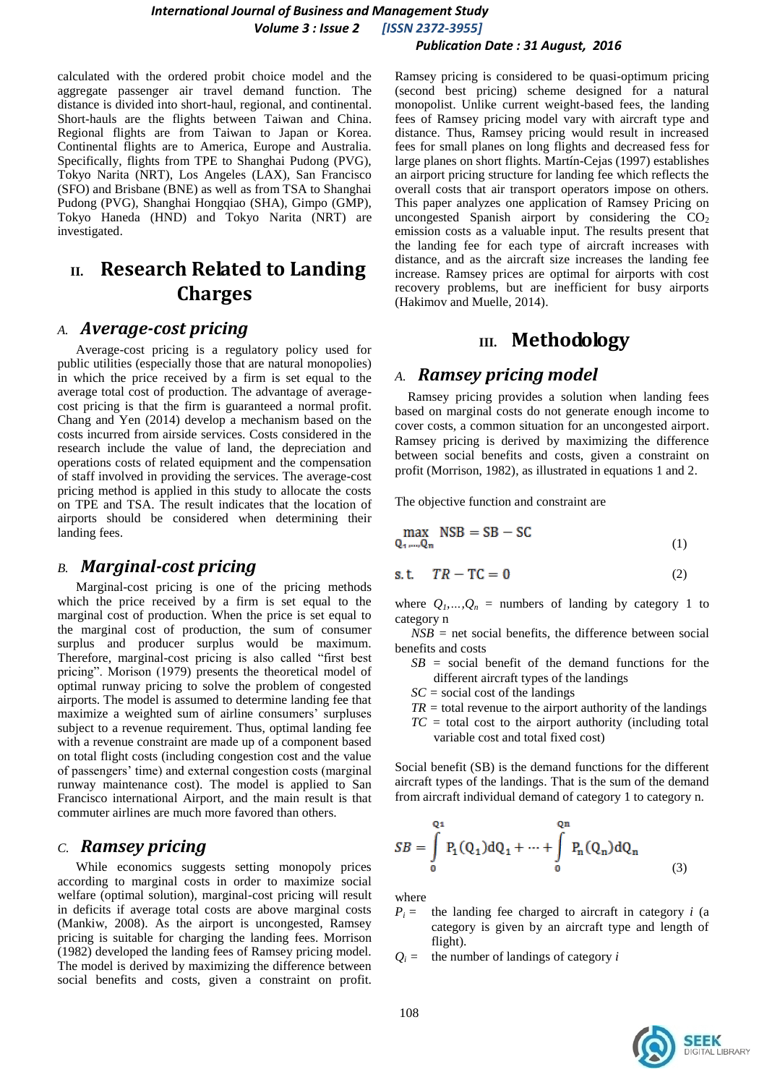calculated with the ordered probit choice model and the aggregate passenger air travel demand function. The distance is divided into short-haul, regional, and continental. Short-hauls are the flights between Taiwan and China. Regional flights are from Taiwan to Japan or Korea. Continental flights are to America, Europe and Australia. Specifically, flights from TPE to Shanghai Pudong (PVG), Tokyo Narita (NRT), Los Angeles (LAX), San Francisco (SFO) and Brisbane (BNE) as well as from TSA to Shanghai Pudong (PVG), Shanghai Hongqiao (SHA), Gimpo (GMP), Tokyo Haneda (HND) and Tokyo Narita (NRT) are investigated.

# **II. Research Related to Landing Charges**

### *A. Average-cost pricing*

Average-cost pricing is a regulatory policy used for public utilities (especially those that are natural monopolies) in which the price received by a firm is set equal to the average total cost of production. The advantage of averagecost pricing is that the firm is guaranteed a normal profit. Chang and Yen (2014) develop a mechanism based on the costs incurred from airside services. Costs considered in the research include the value of land, the depreciation and operations costs of related equipment and the compensation of staff involved in providing the services. The average-cost pricing method is applied in this study to allocate the costs on TPE and TSA. The result indicates that the location of airports should be considered when determining their landing fees.

### *B. Marginal-cost pricing*

Marginal-cost pricing is one of the pricing methods which the price received by a firm is set equal to the marginal cost of production. When the price is set equal to the marginal cost of production, the sum of consumer surplus and producer surplus would be maximum. Therefore, marginal-cost pricing is also called "first best pricing". Morison (1979) presents the theoretical model of optimal runway pricing to solve the problem of congested airports. The model is assumed to determine landing fee that maximize a weighted sum of airline consumers' surpluses subject to a revenue requirement. Thus, optimal landing fee with a revenue constraint are made up of a component based on total flight costs (including congestion cost and the value of passengers' time) and external congestion costs (marginal runway maintenance cost). The model is applied to San Francisco international Airport, and the main result is that commuter airlines are much more favored than others.

### *C. Ramsey pricing*

While economics suggests setting monopoly prices according to marginal costs in order to maximize social welfare (optimal solution), marginal-cost pricing will result in deficits if average total costs are above marginal costs (Mankiw, 2008). As the airport is uncongested, Ramsey pricing is suitable for charging the landing fees. Morrison (1982) developed the landing fees of Ramsey pricing model. The model is derived by maximizing the difference between social benefits and costs, given a constraint on profit.

Ramsey pricing is considered to be quasi-optimum pricing (second best pricing) scheme designed for a natural monopolist. Unlike current weight-based fees, the landing fees of Ramsey pricing model vary with aircraft type and distance. Thus, Ramsey pricing would result in increased fees for small planes on long flights and decreased fess for large planes on short flights. Martín-Cejas (1997) establishes an airport pricing structure for landing fee which reflects the overall costs that air transport operators impose on others. This paper analyzes one application of Ramsey Pricing on uncongested Spanish airport by considering the  $CO<sub>2</sub>$ emission costs as a valuable input. The results present that the landing fee for each type of aircraft increases with distance, and as the aircraft size increases the landing fee increase. Ramsey prices are optimal for airports with cost recovery problems, but are inefficient for busy airports (Hakimov and Muelle, 2014).

# **III. Methodology**

# *A. Ramsey pricing model*

Ramsey pricing provides a solution when landing fees based on marginal costs do not generate enough income to cover costs, a common situation for an uncongested airport. Ramsey pricing is derived by maximizing the difference between social benefits and costs, given a constraint on profit (Morrison, 1982), as illustrated in equations 1 and 2.

The objective function and constraint are

$$
\max_{Q_1,\dots,Q_n} \text{NSB} = \text{SB} - \text{SC} \tag{1}
$$

$$
s.t. \tTR - TC = 0 \t(2)
$$

where  $Q_1$ , ...,  $Q_n$  = numbers of landing by category 1 to category n

 $NSB$  = net social benefits, the difference between social benefits and costs

- *SB =* social benefit of the demand functions for the different aircraft types of the landings
- *SC =* social cost of the landings
- $TR =$  total revenue to the airport authority of the landings
- *TC =* total cost to the airport authority (including total variable cost and total fixed cost)

Social benefit (SB) is the demand functions for the different aircraft types of the landings. That is the sum of the demand from aircraft individual demand of category 1 to category n.

$$
SB = \int_{0}^{Q_1} P_1(Q_1) dQ_1 + \dots + \int_{0}^{Q_n} P_n(Q_n) dQ_n
$$
 (3)

where

- $P_i$  = the landing fee charged to aircraft in category *i* (a category is given by an aircraft type and length of flight).
- $Q_i$  = the number of landings of category *i*

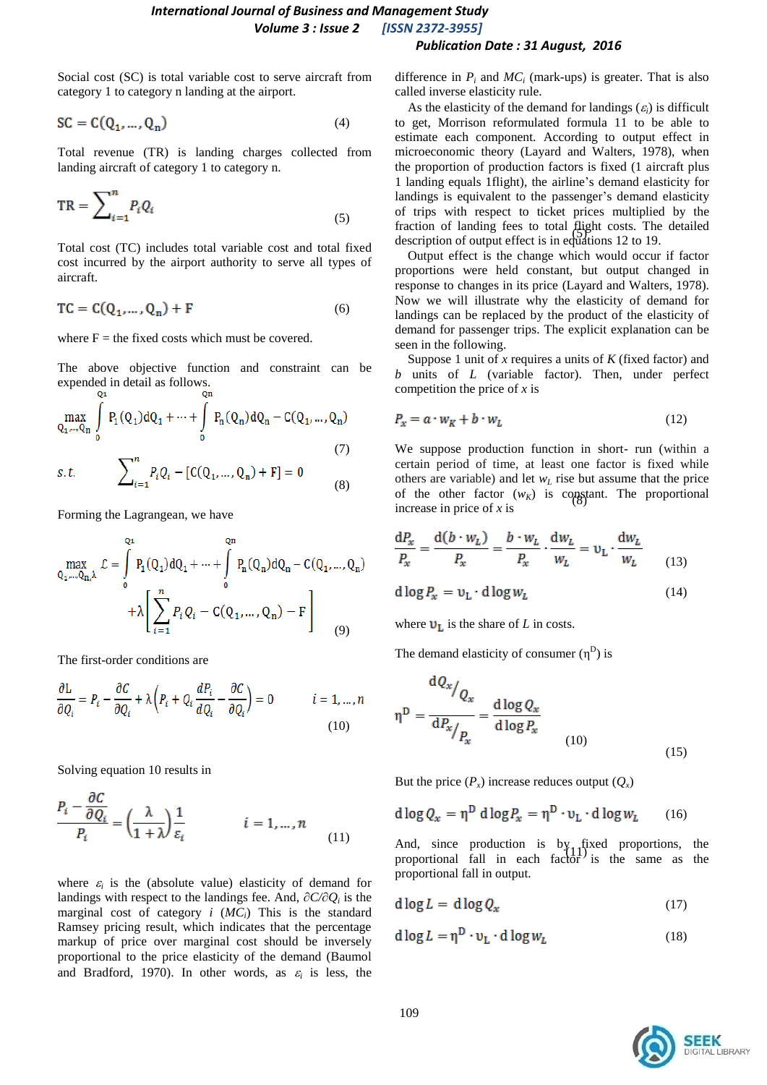Social cost (SC) is total variable cost to serve aircraft from category 1 to category n landing at the airport.

$$
SC = C(Q_1, ..., Q_n)
$$
 (4)

Total revenue (TR) is landing charges collected from landing aircraft of category 1 to category n.

$$
TR = \sum_{i=1}^{n} P_i Q_i \tag{5}
$$

Total cost (TC) includes total variable cost and total fixed cost incurred by the airport authority to serve all types of aircraft.

$$
TC = C(Q_1, \dots, Q_n) + F \tag{6}
$$

where  $F =$  the fixed costs which must be covered.

The above objective function and constraint can be expended in detail as follows.

$$
\max_{Q_1,\dots,Q_n} \int_{0}^{1} P_1(Q_1) dQ_1 + \dots + \int_{0}^{1} P_n(Q_n) dQ_n - C(Q_1,\dots,Q_n)
$$
\n(7)

s.t. 
$$
\sum_{i=1}^{n} P_i Q_i - [C(Q_1, ..., Q_n) + F] = 0
$$
 (8)

Forming the Lagrangean, we have

$$
\max_{Q_1,\dots,Q_n,\lambda} \mathcal{L} = \int_0^{Q_1} P_1(Q_1) dQ_1 + \dots + \int_0^{Q_n} P_n(Q_n) dQ_n - C(Q_1,\dots,Q_n) + \lambda \left[ \sum_{i=1}^n P_i Q_i - C(Q_1,\dots,Q_n) - F \right]
$$
(9)

The first-order conditions are

$$
\frac{\partial L}{\partial Q_i} = P_i - \frac{\partial C}{\partial Q_i} + \lambda \left( P_i + Q_i \frac{dP_i}{dQ_i} - \frac{\partial C}{\partial Q_i} \right) = 0 \qquad i = 1, ..., n
$$
\n(10)

Solving equation 10 results in

$$
\frac{P_i - \frac{\partial C}{\partial Q_i}}{P_i} = \left(\frac{\lambda}{1 + \lambda}\right) \frac{1}{\varepsilon_i} \qquad i = 1, \dots, n \tag{11}
$$

where  $\varepsilon_i$  is the (absolute value) elasticity of demand for landings with respect to the landings fee. And, *∂C/∂Q<sup>i</sup>* is the marginal cost of category *i* (*MCi*) This is the standard Ramsey pricing result, which indicates that the percentage markup of price over marginal cost should be inversely proportional to the price elasticity of the demand (Baumol and Bradford, 1970). In other words, as  $\varepsilon_i$  is less, the

difference in  $P_i$  and  $MC_i$  (mark-ups) is greater. That is also called inverse elasticity rule.

fraction of landing fees to total flight costs. The detailed<br>description of output of set is in a solution 12 to 10. As the elasticity of the demand for landings  $(\varepsilon_i)$  is difficult to get, Morrison reformulated formula 11 to be able to estimate each component. According to output effect in microeconomic theory (Layard and Walters, 1978), when the proportion of production factors is fixed (1 aircraft plus 1 landing equals 1flight), the airline's demand elasticity for landings is equivalent to the passenger's demand elasticity of trips with respect to ticket prices multiplied by the description of output effect is in equations 12 to 19.

Output effect is the change which would occur if factor proportions were held constant, but output changed in response to changes in its price (Layard and Walters, 1978). Now we will illustrate why the elasticity of demand for landings can be replaced by the product of the elasticity of demand for passenger trips. The explicit explanation can be seen in the following.

Suppose 1 unit of *x* requires a units of *K* (fixed factor) and *b* units of *L* (variable factor). Then, under perfect competition the price of *x* is

$$
P_x = a \cdot w_K + b \cdot w_L \tag{12}
$$

of the other factor  $(w_K)$  is constant. The proportional We suppose production function in short- run (within a certain period of time, at least one factor is fixed while others are variable) and let  $w_L$  rise but assume that the price increase in price of *x* is

$$
\frac{dP_x}{P_x} = \frac{d(b \cdot w_L)}{P_x} = \frac{b \cdot w_L}{P_x} \cdot \frac{dw_L}{w_L} = v_L \cdot \frac{dw_L}{w_L}
$$
(13)

$$
d \log P_x = v_L \cdot d \log w_L \tag{14}
$$

where  $\mathbf{U}_{\mathbf{L}}$  is the share of *L* in costs.

The demand elasticity of consumer  $(\eta^D)$  is

$$
\eta^{\mathcal{D}} = \frac{dQ_x}{dP_x / P_x} = \frac{d \log Q_x}{d \log P_x}
$$
\n(10)

But the price  $(P_x)$  increase reduces output  $(Q_x)$ 

$$
d \log Q_x = \eta^D \, d \log P_x = \eta^D \cdot \nu_L \cdot d \log w_L \qquad (16)
$$

And, since production is by fixed proportions, the proportional fall in each factor<sup>1</sup> is the same as the proportional fall in output.

$$
d \log L = d \log Q_x \tag{17}
$$

$$
d \log L = \eta^D \cdot v_L \cdot d \log w_L \tag{18}
$$

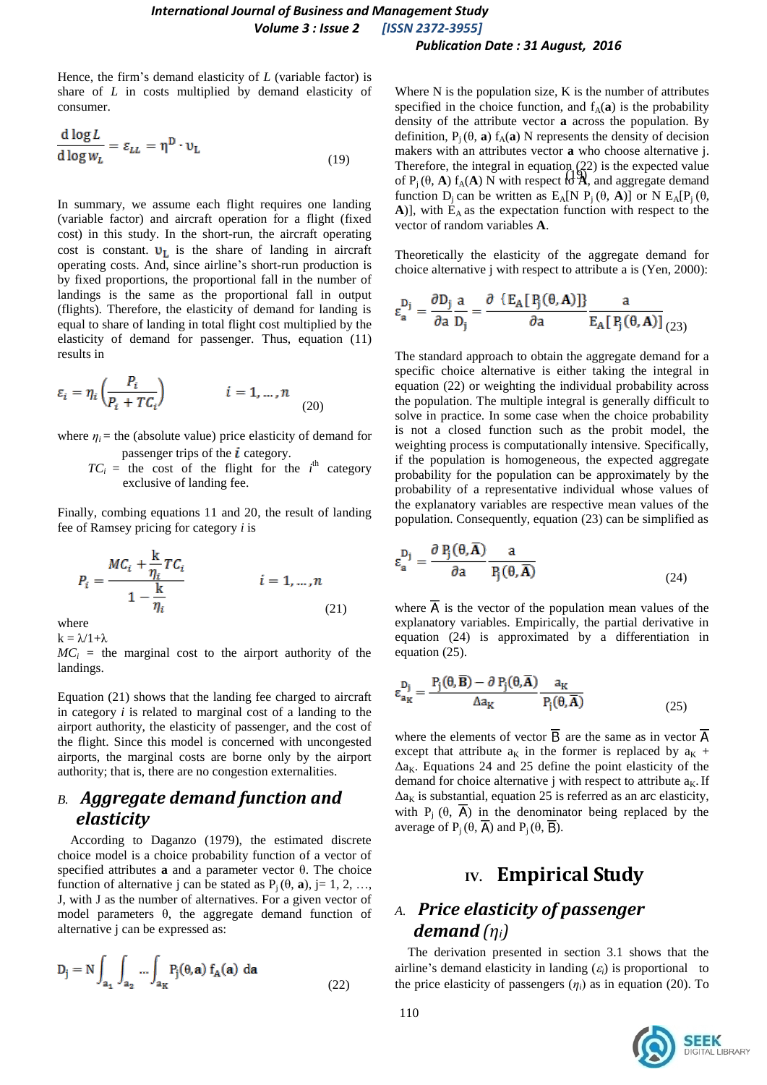Hence, the firm's demand elasticity of *L* (variable factor) is share of *L* in costs multiplied by demand elasticity of consumer.

$$
\frac{\mathrm{d}\log L}{\mathrm{d}\log w_L} = \varepsilon_{LL} = \eta^D \cdot \nu_L \tag{19}
$$

In summary, we assume each flight requires one landing (variable factor) and aircraft operation for a flight (fixed cost) in this study. In the short-run, the aircraft operating cost is constant.  $v_L$  is the share of landing in aircraft operating costs. And, since airline's short-run production is by fixed proportions, the proportional fall in the number of landings is the same as the proportional fall in output (flights). Therefore, the elasticity of demand for landing is equal to share of landing in total flight cost multiplied by the elasticity of demand for passenger. Thus, equation (11) results in

$$
\varepsilon_i = \eta_i \left( \frac{P_i}{P_i + T C_i} \right) \qquad i = 1, \dots, n \tag{20}
$$

where  $\eta_i$  = the (absolute value) price elasticity of demand for passenger trips of the  $\boldsymbol{i}$  category.

 $TC_i$  = the cost of the flight for the *i*<sup>th</sup> category exclusive of landing fee.

Finally, combing equations 11 and 20, the result of landing fee of Ramsey pricing for category *i* is

$$
P_i = \frac{MC_i + \frac{k}{\eta_i}TC_i}{1 - \frac{k}{\eta_i}}
$$
   
  $i = 1, ..., n$  (21)

where

ЦÚ.

 $k = \lambda/1+\lambda$ 



Equation (21) shows that the landing fee charged to aircraft in category *i* is related to marginal cost of a landing to the airport authority, the elasticity of passenger, and the cost of the flight. Since this model is concerned with uncongested airports, the marginal costs are borne only by the airport authority; that is, there are no congestion externalities.

# *B. Aggregate demand function and elasticity*

According to Daganzo (1979), the estimated discrete choice model is a choice probability function of a vector of specified attributes **a** and a parameter vector θ. The choice function of alternative j can be stated as  $P_i(\theta, \mathbf{a})$ , j= 1, 2, …, J, with J as the number of alternatives. For a given vector of model parameters θ, the aggregate demand function of alternative j can be expressed as:

$$
D_j = N \int_{a_1} \int_{a_2} \dots \int_{a_K} P_j(\theta, \mathbf{a}) f_A(\mathbf{a}) d\mathbf{a}
$$
 (22)

Therefore, the integral in equation (22) is the expected value<br>of  $P(A, A) f(A) N$  with respect  $A \mathcal{X}$  and express demand Where N is the population size, K is the number of attributes specified in the choice function, and  $f_A(\mathbf{a})$  is the probability density of the attribute vector **a** across the population. By definition,  $P_i(\theta, \mathbf{a})$  f<sub>A</sub>(**a**) N represents the density of decision makers with an attributes vector **a** who choose alternative j. of  $P_j(\theta, A) f_A(A)$  N with respect to **λ**, and aggregate demand function  $D_i$  can be written as  $E_A[N P_i(\theta, A)]$  or N  $E_A[P_i(\theta, A)]$  $A$ )], with  $E_A$  as the expectation function with respect to the vector of random variables **A**.

Theoretically the elasticity of the aggregate demand for choice alternative j with respect to attribute a is (Yen, 2000):

$$
\epsilon_a^{D_j} = \frac{\partial D_j}{\partial a} \frac{a}{D_j} = \frac{\partial \left\{ E_A \left[ P_j(\theta, A) \right] \right\}}{\partial a} \frac{a}{E_A \left[ P_j(\theta, A) \right]}_{(23)}
$$

The standard approach to obtain the aggregate demand for a specific choice alternative is either taking the integral in equation (22) or weighting the individual probability across the population. The multiple integral is generally difficult to solve in practice. In some case when the choice probability is not a closed function such as the probit model, the weighting process is computationally intensive. Specifically, if the population is homogeneous, the expected aggregate probability for the population can be approximately by the probability of a representative individual whose values of the explanatory variables are respective mean values of the population. Consequently, equation (23) can be simplified as

$$
\varepsilon_{\mathbf{a}}^{\mathbf{D}_{\mathbf{j}}} = \frac{\partial \mathbf{P}_{\mathbf{j}}(\mathbf{\theta}, \mathbf{A})}{\partial \mathbf{a}} \frac{\mathbf{a}}{\mathbf{P}_{\mathbf{j}}(\mathbf{\theta}, \overline{\mathbf{A}})}
$$
(24)

where  $\overline{A}$  is the vector of the population mean values of the explanatory variables. Empirically, the partial derivative in equation (24) is approximated by a differentiation in equation (25).

$$
\varepsilon_{a_K}^{D_j} = \frac{P_j(\theta, \overline{B}) - \partial P_j(\theta, \overline{A})}{\Delta a_K} \frac{a_K}{P_j(\theta, \overline{A})}
$$
(25)

where the elements of vector  $\overline{B}$  are the same as in vector  $\overline{A}$ except that attribute  $a_K$  in the former is replaced by  $a_K$  +  $\Delta a_K$ . Equations 24 and 25 define the point elasticity of the demand for choice alternative j with respect to attribute  $a<sub>K</sub>$ . If  $\Delta a_K$  is substantial, equation 25 is referred as an arc elasticity, with P<sub>i</sub>  $(\theta, \overline{A})$  in the denominator being replaced by the average of  $P_i$  (θ,  $\overline{A}$ ) and  $P_i$  (θ,  $\overline{B}$ ).

# **IV. Empirical Study**

# *A. Price elasticity of passenger demand (ηi)*

The derivation presented in section 3.1 shows that the airline's demand elasticity in landing  $(\varepsilon_i)$  is proportional to the price elasticity of passengers  $(\eta_i)$  as in equation (20). To

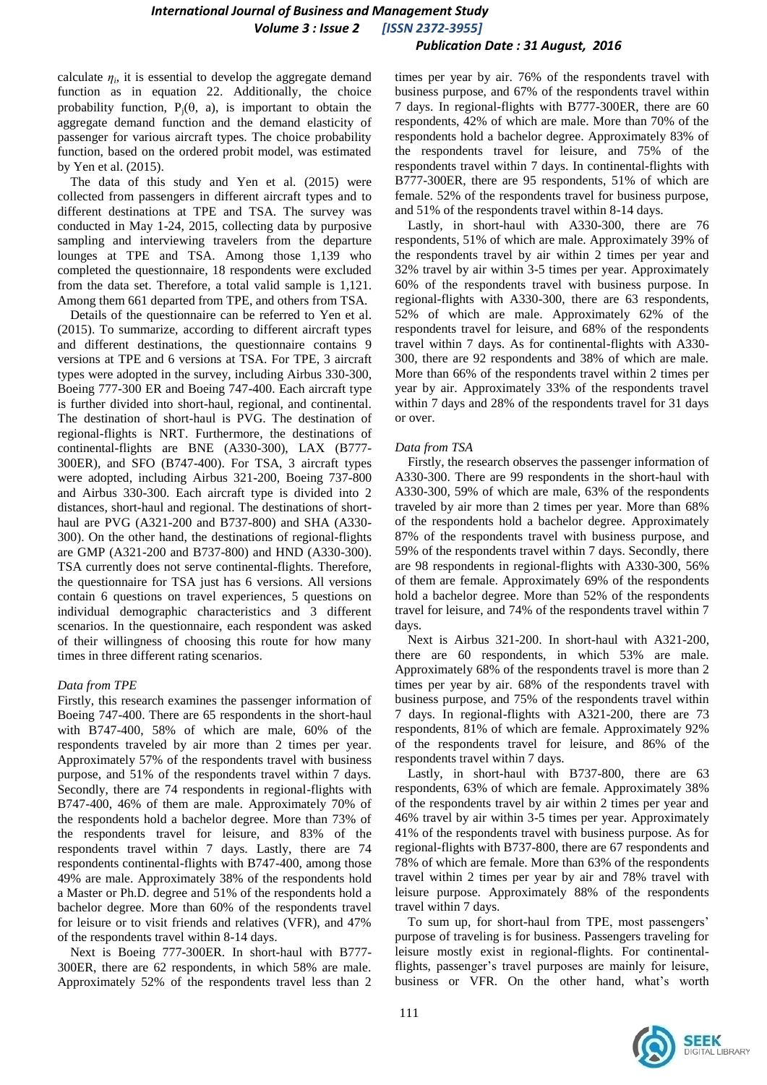calculate  $\eta_i$ , it is essential to develop the aggregate demand function as in equation 22. Additionally, the choice probability function,  $P_i(\theta, a)$ , is important to obtain the aggregate demand function and the demand elasticity of passenger for various aircraft types. The choice probability function, based on the ordered probit model, was estimated by Yen et al. (2015).

The data of this study and Yen et al. (2015) were collected from passengers in different aircraft types and to different destinations at TPE and TSA. The survey was conducted in May 1-24, 2015, collecting data by purposive sampling and interviewing travelers from the departure lounges at TPE and TSA. Among those 1,139 who completed the questionnaire, 18 respondents were excluded from the data set. Therefore, a total valid sample is 1,121. Among them 661 departed from TPE, and others from TSA.

Details of the questionnaire can be referred to Yen et al. (2015). To summarize, according to different aircraft types and different destinations, the questionnaire contains 9 versions at TPE and 6 versions at TSA. For TPE, 3 aircraft types were adopted in the survey, including Airbus 330-300, Boeing 777-300 ER and Boeing 747-400. Each aircraft type is further divided into short-haul, regional, and continental. The destination of short-haul is PVG. The destination of regional-flights is NRT. Furthermore, the destinations of continental-flights are BNE (A330-300), LAX (B777- 300ER), and SFO (B747-400). For TSA, 3 aircraft types were adopted, including Airbus 321-200, Boeing 737-800 and Airbus 330-300. Each aircraft type is divided into 2 distances, short-haul and regional. The destinations of shorthaul are PVG (A321-200 and B737-800) and SHA (A330- 300). On the other hand, the destinations of regional-flights are GMP (A321-200 and B737-800) and HND (A330-300). TSA currently does not serve continental-flights. Therefore, the questionnaire for TSA just has 6 versions. All versions contain 6 questions on travel experiences, 5 questions on individual demographic characteristics and 3 different scenarios. In the questionnaire, each respondent was asked of their willingness of choosing this route for how many times in three different rating scenarios.

#### *Data from TPE*

Firstly, this research examines the passenger information of Boeing 747-400. There are 65 respondents in the short-haul with B747-400, 58% of which are male, 60% of the respondents traveled by air more than 2 times per year. Approximately 57% of the respondents travel with business purpose, and 51% of the respondents travel within 7 days. Secondly, there are 74 respondents in regional-flights with B747-400, 46% of them are male. Approximately 70% of the respondents hold a bachelor degree. More than 73% of the respondents travel for leisure, and 83% of the respondents travel within 7 days. Lastly, there are 74 respondents continental-flights with B747-400, among those 49% are male. Approximately 38% of the respondents hold a Master or Ph.D. degree and 51% of the respondents hold a bachelor degree. More than 60% of the respondents travel for leisure or to visit friends and relatives (VFR), and 47% of the respondents travel within 8-14 days.

Next is Boeing 777-300ER. In short-haul with B777- 300ER, there are 62 respondents, in which 58% are male. Approximately 52% of the respondents travel less than 2 times per year by air. 76% of the respondents travel with business purpose, and 67% of the respondents travel within 7 days. In regional-flights with B777-300ER, there are 60 respondents, 42% of which are male. More than 70% of the respondents hold a bachelor degree. Approximately 83% of the respondents travel for leisure, and 75% of the respondents travel within 7 days. In continental-flights with B777-300ER, there are 95 respondents, 51% of which are female. 52% of the respondents travel for business purpose, and 51% of the respondents travel within 8-14 days.

Lastly, in short-haul with A330-300, there are 76 respondents, 51% of which are male. Approximately 39% of the respondents travel by air within 2 times per year and 32% travel by air within 3-5 times per year. Approximately 60% of the respondents travel with business purpose. In regional-flights with A330-300, there are 63 respondents, 52% of which are male. Approximately 62% of the respondents travel for leisure, and 68% of the respondents travel within 7 days. As for continental-flights with A330- 300, there are 92 respondents and 38% of which are male. More than 66% of the respondents travel within 2 times per year by air. Approximately 33% of the respondents travel within 7 days and 28% of the respondents travel for 31 days or over.

#### *Data from TSA*

Firstly, the research observes the passenger information of A330-300. There are 99 respondents in the short-haul with A330-300, 59% of which are male, 63% of the respondents traveled by air more than 2 times per year. More than 68% of the respondents hold a bachelor degree. Approximately 87% of the respondents travel with business purpose, and 59% of the respondents travel within 7 days. Secondly, there are 98 respondents in regional-flights with A330-300, 56% of them are female. Approximately 69% of the respondents hold a bachelor degree. More than 52% of the respondents travel for leisure, and 74% of the respondents travel within 7 days.

Next is Airbus 321-200. In short-haul with A321-200, there are 60 respondents, in which 53% are male. Approximately 68% of the respondents travel is more than 2 times per year by air. 68% of the respondents travel with business purpose, and 75% of the respondents travel within 7 days. In regional-flights with A321-200, there are 73 respondents, 81% of which are female. Approximately 92% of the respondents travel for leisure, and 86% of the respondents travel within 7 days.

Lastly, in short-haul with B737-800, there are 63 respondents, 63% of which are female. Approximately 38% of the respondents travel by air within 2 times per year and 46% travel by air within 3-5 times per year. Approximately 41% of the respondents travel with business purpose. As for regional-flights with B737-800, there are 67 respondents and 78% of which are female. More than 63% of the respondents travel within 2 times per year by air and 78% travel with leisure purpose. Approximately 88% of the respondents travel within 7 days.

To sum up, for short-haul from TPE, most passengers' purpose of traveling is for business. Passengers traveling for leisure mostly exist in regional-flights. For continentalflights, passenger's travel purposes are mainly for leisure, business or VFR. On the other hand, what's worth

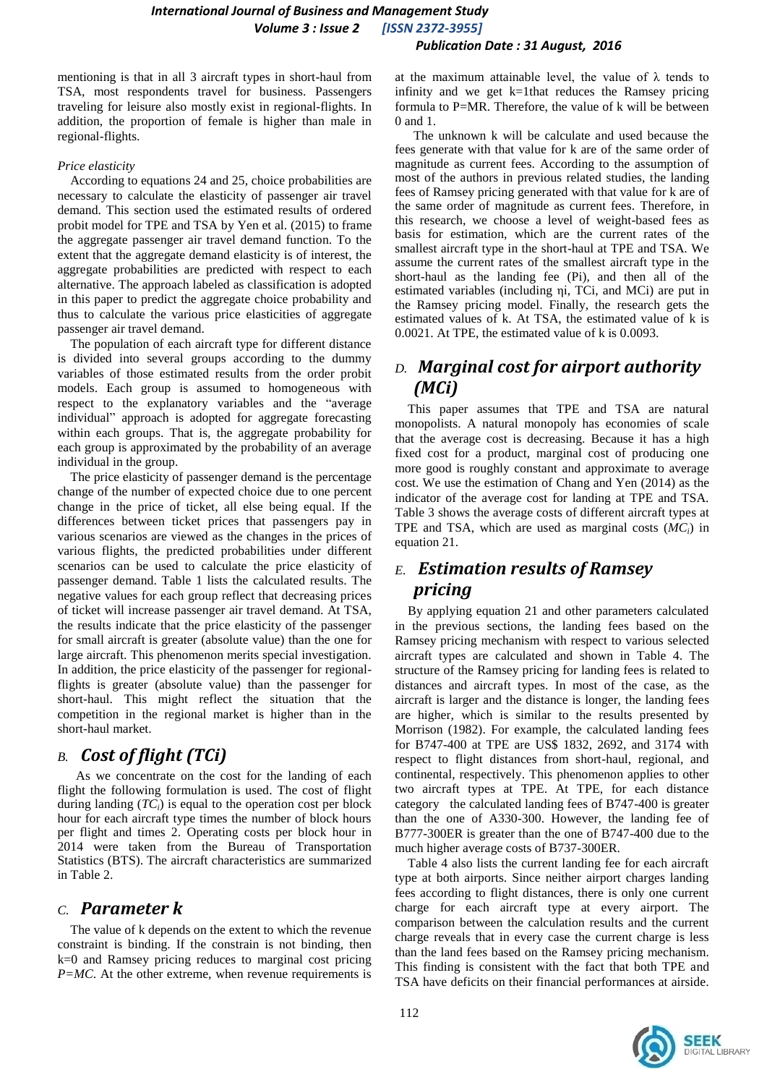mentioning is that in all 3 aircraft types in short-haul from TSA, most respondents travel for business. Passengers traveling for leisure also mostly exist in regional-flights. In addition, the proportion of female is higher than male in regional-flights.

#### *Price elasticity*

According to equations 24 and 25, choice probabilities are necessary to calculate the elasticity of passenger air travel demand. This section used the estimated results of ordered probit model for TPE and TSA by Yen et al. (2015) to frame the aggregate passenger air travel demand function. To the extent that the aggregate demand elasticity is of interest, the aggregate probabilities are predicted with respect to each alternative. The approach labeled as classification is adopted in this paper to predict the aggregate choice probability and thus to calculate the various price elasticities of aggregate passenger air travel demand.

The population of each aircraft type for different distance is divided into several groups according to the dummy variables of those estimated results from the order probit models. Each group is assumed to homogeneous with respect to the explanatory variables and the "average individual" approach is adopted for aggregate forecasting within each groups. That is, the aggregate probability for each group is approximated by the probability of an average individual in the group.

The price elasticity of passenger demand is the percentage change of the number of expected choice due to one percent change in the price of ticket, all else being equal. If the differences between ticket prices that passengers pay in various scenarios are viewed as the changes in the prices of various flights, the predicted probabilities under different scenarios can be used to calculate the price elasticity of passenger demand. Table 1 lists the calculated results. The negative values for each group reflect that decreasing prices of ticket will increase passenger air travel demand. At TSA, the results indicate that the price elasticity of the passenger for small aircraft is greater (absolute value) than the one for large aircraft. This phenomenon merits special investigation. In addition, the price elasticity of the passenger for regionalflights is greater (absolute value) than the passenger for short-haul. This might reflect the situation that the competition in the regional market is higher than in the short-haul market.

# *B. Cost of flight (TCi)*

As we concentrate on the cost for the landing of each flight the following formulation is used. The cost of flight during landing  $(TC_i)$  is equal to the operation cost per block hour for each aircraft type times the number of block hours per flight and times 2. Operating costs per block hour in 2014 were taken from the Bureau of Transportation Statistics (BTS). The aircraft characteristics are summarized in Table 2.

### *C. Parameter k*

The value of k depends on the extent to which the revenue constraint is binding. If the constrain is not binding, then k=0 and Ramsey pricing reduces to marginal cost pricing *P=MC*. At the other extreme, when revenue requirements is

at the maximum attainable level, the value of  $\lambda$  tends to infinity and we get k=1that reduces the Ramsey pricing formula to P=MR. Therefore, the value of k will be between 0 and 1.

The unknown k will be calculate and used because the fees generate with that value for k are of the same order of magnitude as current fees. According to the assumption of most of the authors in previous related studies, the landing fees of Ramsey pricing generated with that value for k are of the same order of magnitude as current fees. Therefore, in this research, we choose a level of weight-based fees as basis for estimation, which are the current rates of the smallest aircraft type in the short-haul at TPE and TSA. We assume the current rates of the smallest aircraft type in the short-haul as the landing fee (Pi), and then all of the estimated variables (including ηi, TCi, and MCi) are put in the Ramsey pricing model. Finally, the research gets the estimated values of k. At TSA, the estimated value of k is 0.0021. At TPE, the estimated value of k is 0.0093.

# *D. Marginal cost for airport authority (MCi)*

This paper assumes that TPE and TSA are natural monopolists. A natural monopoly has economies of scale that the average cost is decreasing. Because it has a high fixed cost for a product, marginal cost of producing one more good is roughly constant and approximate to average cost. We use the estimation of Chang and Yen (2014) as the indicator of the average cost for landing at TPE and TSA. Table 3 shows the average costs of different aircraft types at TPE and TSA, which are used as marginal costs (*MCi*) in equation 21.

# *E. Estimation results of Ramsey pricing*

By applying equation 21 and other parameters calculated in the previous sections, the landing fees based on the Ramsey pricing mechanism with respect to various selected aircraft types are calculated and shown in Table 4. The structure of the Ramsey pricing for landing fees is related to distances and aircraft types. In most of the case, as the aircraft is larger and the distance is longer, the landing fees are higher, which is similar to the results presented by Morrison (1982). For example, the calculated landing fees for B747-400 at TPE are US\$ 1832, 2692, and 3174 with respect to flight distances from short-haul, regional, and continental, respectively. This phenomenon applies to other two aircraft types at TPE. At TPE, for each distance category the calculated landing fees of B747-400 is greater than the one of A330-300. However, the landing fee of B777-300ER is greater than the one of B747-400 due to the much higher average costs of B737-300ER.

Table 4 also lists the current landing fee for each aircraft type at both airports. Since neither airport charges landing fees according to flight distances, there is only one current charge for each aircraft type at every airport. The comparison between the calculation results and the current charge reveals that in every case the current charge is less than the land fees based on the Ramsey pricing mechanism. This finding is consistent with the fact that both TPE and TSA have deficits on their financial performances at airside.

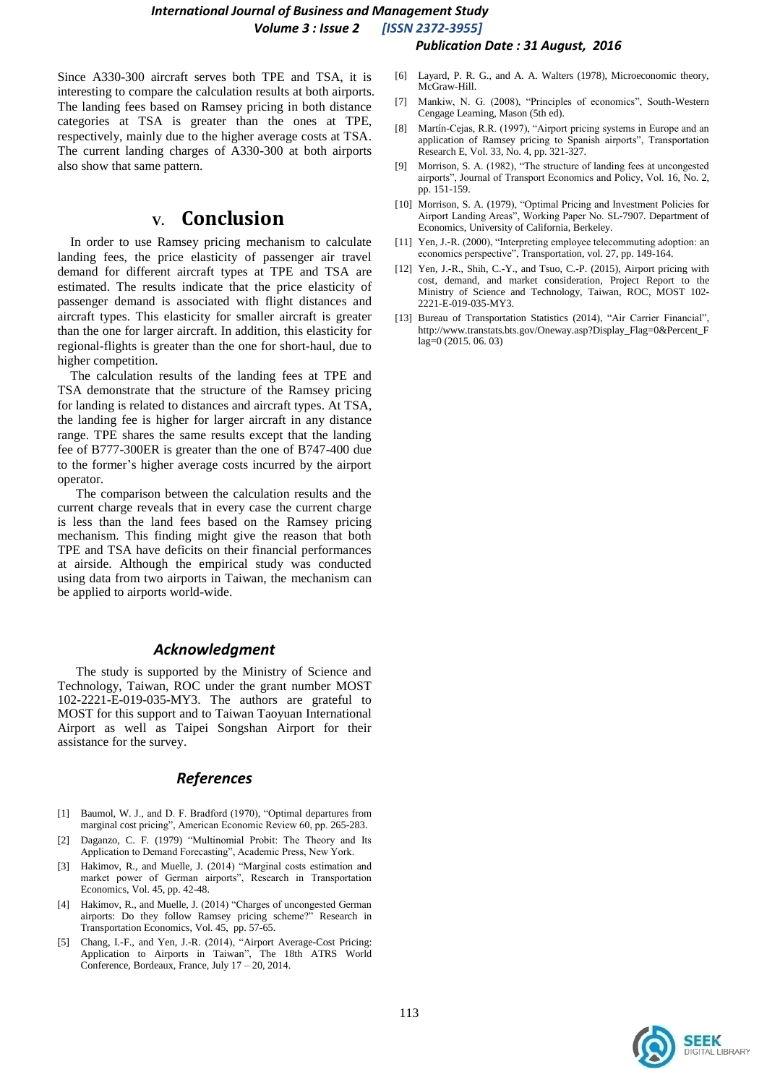#### *International Journal of Business and Management Study Volume 3 : Issue 2 [ISSN 2372-3955] Publication Date : 31 August, 2016*

Since A330-300 aircraft serves both TPE and TSA, it is interesting to compare the calculation results at both airports. The landing fees based on Ramsey pricing in both distance categories at TSA is greater than the ones at TPE, respectively, mainly due to the higher average costs at TSA. The current landing charges of A330-300 at both airports also show that same pattern.

# **V. Conclusion**

In order to use Ramsey pricing mechanism to calculate landing fees, the price elasticity of passenger air travel demand for different aircraft types at TPE and TSA are estimated. The results indicate that the price elasticity of passenger demand is associated with flight distances and aircraft types. This elasticity for smaller aircraft is greater than the one for larger aircraft. In addition, this elasticity for regional-flights is greater than the one for short-haul, due to higher competition.

The calculation results of the landing fees at TPE and TSA demonstrate that the structure of the Ramsey pricing for landing is related to distances and aircraft types. At TSA, the landing fee is higher for larger aircraft in any distance range. TPE shares the same results except that the landing fee of B777-300ER is greater than the one of B747-400 due to the former's higher average costs incurred by the airport operator.

The comparison between the calculation results and the current charge reveals that in every case the current charge is less than the land fees based on the Ramsey pricing mechanism. This finding might give the reason that both TPE and TSA have deficits on their financial performances at airside. Although the empirical study was conducted using data from two airports in Taiwan, the mechanism can be applied to airports world-wide.

### *Acknowledgment*

The study is supported by the Ministry of Science and Technology, Taiwan, ROC under the grant number MOST 102-2221-E-019-035-MY3. The authors are grateful to MOST for this support and to Taiwan Taoyuan International Airport as well as Taipei Songshan Airport for their assistance for the survey.

### *References*

- [1] Baumol, W. J., and D. F. Bradford (1970), "Optimal departures from marginal cost pricing", American Economic Review 60, pp. 265-283.
- [2] Daganzo, C. F. (1979) "Multinomial Probit: The Theory and Its Application to Demand Forecasting", Academic Press, New York.
- [3] Hakimov, R., and Muelle, J. (2014) "Marginal costs estimation and market power of German airports", Research in Transportation Economics, Vol. 45, pp. 42-48.
- [4] Hakimov, R., and Muelle, J. (2014) "Charges of uncongested German airports: Do they follow Ramsey pricing scheme?" Research in Transportation Economics, Vol. 45, pp. 57-65.
- [5] Chang, I.-F., and Yen, J.-R. (2014), "Airport Average-Cost Pricing: Application to Airports in Taiwan", The 18th ATRS World Conference, Bordeaux, France, July 17 – 20, 2014.
- [6] Layard, P. R. G., and A. A. Walters (1978), Microeconomic theory, McGraw-Hill.
- [7] Mankiw, N. G. (2008), "Principles of economics", South-Western Cengage Learning, Mason (5th ed).
- [8] Martín-Cejas, R.R. (1997), "Airport pricing systems in Europe and an application of Ramsey pricing to Spanish airports", Transportation Research E, Vol. 33, No. 4, pp. 321-327.
- [9] Morrison, S. A. (1982), "The structure of landing fees at uncongested airports", Journal of Transport Economics and Policy, Vol. 16, No. 2, pp. 151-159.
- [10] Morrison, S. A. (1979), "Optimal Pricing and Investment Policies for Airport Landing Areas", Working Paper No. SL-7907. Department of Economics, University of California, Berkeley.
- [11] Yen, J.-R. (2000), "Interpreting employee telecommuting adoption: an economics perspective", Transportation, vol. 27, pp. 149-164.
- [12] Yen, J.-R., Shih, C.-Y., and Tsuo, C.-P. (2015), Airport pricing with cost, demand, and market consideration, Project Report to the Ministry of Science and Technology, Taiwan, ROC, MOST 102- 2221-E-019-035-MY3.
- [13] Bureau of Transportation Statistics (2014), "Air Carrier Financial" http://www.transtats.bts.gov/Oneway.asp?Display\_Flag=0&Percent\_F lag=0 (2015. 06. 03)